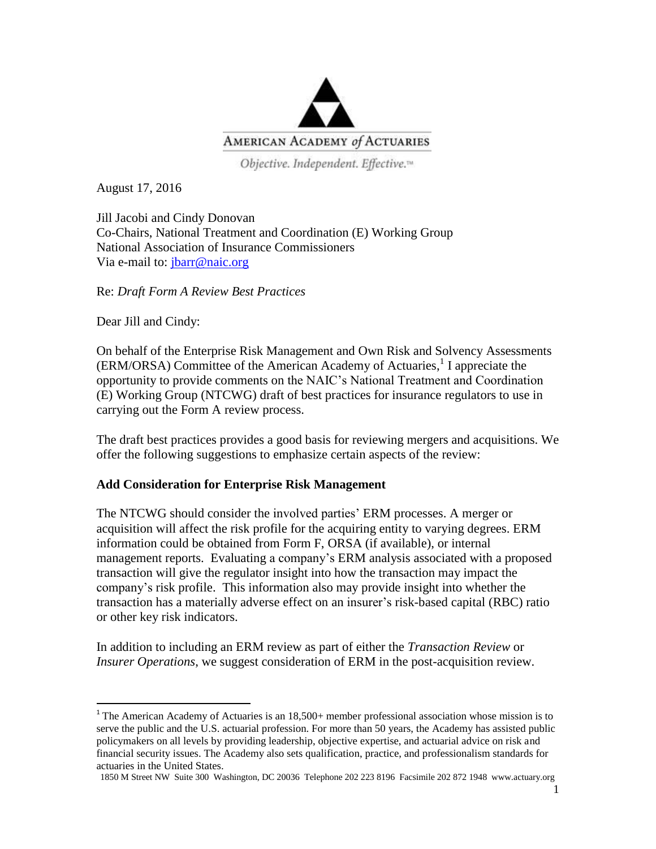

Objective. Independent. Effective.<sup>14</sup>

August 17, 2016

Jill Jacobi and Cindy Donovan Co-Chairs, National Treatment and Coordination (E) Working Group National Association of Insurance Commissioners Via e-mail to: [jbarr@naic.org](mailto:jbarr@naic.org)

Re: *Draft Form A Review Best Practices*

Dear Jill and Cindy:

 $\overline{a}$ 

On behalf of the Enterprise Risk Management and Own Risk and Solvency Assessments (ERM/ORSA) Committee of the American Academy of Actuaries, 1 I appreciate the opportunity to provide comments on the NAIC's National Treatment and Coordination (E) Working Group (NTCWG) draft of best practices for insurance regulators to use in carrying out the Form A review process.

The draft best practices provides a good basis for reviewing mergers and acquisitions. We offer the following suggestions to emphasize certain aspects of the review:

## **Add Consideration for Enterprise Risk Management**

The NTCWG should consider the involved parties' ERM processes. A merger or acquisition will affect the risk profile for the acquiring entity to varying degrees. ERM information could be obtained from Form F, ORSA (if available), or internal management reports. Evaluating a company's ERM analysis associated with a proposed transaction will give the regulator insight into how the transaction may impact the company's risk profile. This information also may provide insight into whether the transaction has a materially adverse effect on an insurer's risk-based capital (RBC) ratio or other key risk indicators.

In addition to including an ERM review as part of either the *Transaction Review* or *Insurer Operations*, we suggest consideration of ERM in the post-acquisition review.

<sup>&</sup>lt;sup>1</sup> The American Academy of Actuaries is an  $18,500+$  member professional association whose mission is to serve the public and the U.S. actuarial profession. For more than 50 years, the Academy has assisted public policymakers on all levels by providing leadership, objective expertise, and actuarial advice on risk and financial security issues. The Academy also sets qualification, practice, and professionalism standards for actuaries in the United States.

<sup>1850</sup> M Street NW Suite 300 Washington, DC 20036 Telephone 202 223 8196 Facsimile 202 872 1948 www.actuary.org